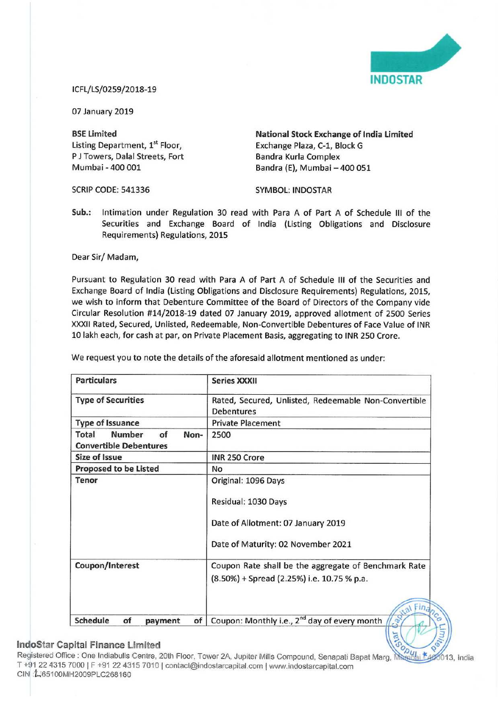

## iCFL/LS/0259/2018—19

07 January 2019

Listing Department, 1<sup>st</sup> Floor, P J Towers, Dalal Streets, Fort Bandra Kurla Complex<br>
Mumbai - 400 001 Bandra (E). Mumbai -

BSE Limited<br>
Listing Department, 1<sup>st</sup> Floor,<br>
Exchange Plaza, C-1, Block G<br>
Exchange Plaza, C-1, Block G Bandra (E), Mumbai - 400 051

SCRIP CODE: 541336 SYMBOL: INDOSTAR

Sub.: Intimation under Regulation 30 read with Para A of Part <sup>A</sup> of Schedule III of the Securities and Exchange Board of India (Listing Obligations and Disclosure Requirements) Regulations, 2015

Dear Sir/ Madam,

Pursuant to Regulation 30 read with Para A of Part A of Schedule III of the Securities and Exchange Board of India (Listing Obligations and Disclosure Requirements) Regulations, 2015, we wish to inform that Debenture Committee of the Board of Directors of the Company vide Circular Resolution #14/2018-19 dated 07 January 2019, approved allotment of 2500 Series XXXII Rated, Secured, Unlisted, Redeemable, Non-Convertible Debentures of Face Value of INR <sup>10</sup> lakh each, for cash at par, on Private Placement Basis, aggregating to INR 250 Crore.

| <b>Particulars</b>                                                    | <b>Series XXXII</b>                                                                                                    |
|-----------------------------------------------------------------------|------------------------------------------------------------------------------------------------------------------------|
| <b>Type of Securities</b>                                             | Rated, Secured, Unlisted, Redeemable Non-Convertible<br><b>Debentures</b>                                              |
| <b>Type of Issuance</b>                                               | <b>Private Placement</b>                                                                                               |
| <b>Number</b><br>Total<br>of<br>Non-<br><b>Convertible Debentures</b> | 2500                                                                                                                   |
| <b>Size of Issue</b>                                                  | INR 250 Crore                                                                                                          |
| <b>Proposed to be Listed</b>                                          | No                                                                                                                     |
| Tenor                                                                 | Original: 1096 Days<br>Residual: 1030 Days<br>Date of Allotment: 07 January 2019<br>Date of Maturity: 02 November 2021 |
| Coupon/Interest                                                       | Coupon Rate shall be the aggregate of Benchmark Rate<br>(8.50%) + Spread (2.25%) i.e. 10.75 % p.a.<br>al Fina          |
| Schedule<br>of<br>of<br>payment                                       | Coupon: Monthly i.e., 2 <sup>nd</sup> day of every month                                                               |

We request you to note the details of the aforesaid allotment mentioned as under:

## Indostar Capital Finance Limited

Registered Office : One Indiabulls Centre, 20th Floor, Tower 2A, Jupiter Mills Compound, Senapati Bapat Marg, i <sup>T</sup> +91 <sup>22</sup> 4315 7000 <sup>|</sup> <sup>F</sup> +91 <sup>22</sup> 4315 7010 <sup>l</sup> coniacl@lndosiarcaplialcom ( www.indoslarcapital.com CIN : 165100MH2009PLC268160